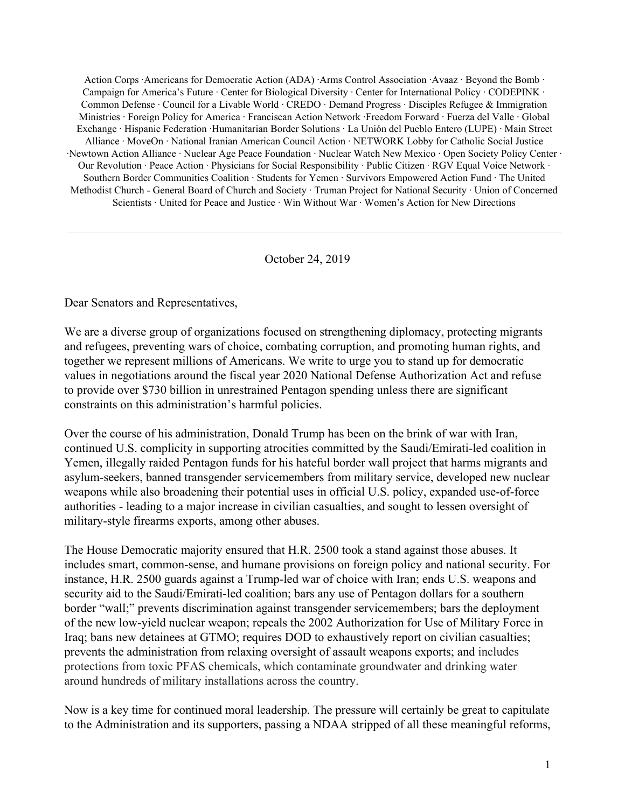Action Corps ·Americans for Democratic Action (ADA) ·Arms Control Association ·Avaaz · Beyond the Bomb · Campaign for America's Future · Center for Biological Diversity · Center for International Policy · CODEPINK · Common Defense · Council for a Livable World · CREDO · Demand Progress · Disciples Refugee & Immigration Ministries · Foreign Policy for America · Franciscan Action Network ·Freedom Forward · Fuerza del Valle · Global Exchange · Hispanic Federation ·Humanitarian Border Solutions · La Unión del Pueblo Entero (LUPE) · Main Street Alliance · MoveOn · National Iranian American Council Action · NETWORK Lobby for Catholic Social Justice ·Newtown Action Alliance · Nuclear Age Peace Foundation · Nuclear Watch New Mexico · Open Society Policy Center · Our Revolution · Peace Action · Physicians for Social Responsibility · Public Citizen · RGV Equal Voice Network · Southern Border Communities Coalition · Students for Yemen · Survivors Empowered Action Fund · The United Methodist Church - General Board of Church and Society · Truman Project for National Security · Union of Concerned Scientists · United for Peace and Justice · Win Without War · Women's Action for New Directions

October 24, 2019

Dear Senators and Representatives,

We are a diverse group of organizations focused on strengthening diplomacy, protecting migrants and refugees, preventing wars of choice, combating corruption, and promoting human rights, and together we represent millions of Americans. We write to urge you to stand up for democratic values in negotiations around the fiscal year 2020 National Defense Authorization Act and refuse to provide over \$730 billion in unrestrained Pentagon spending unless there are significant constraints on this administration's harmful policies.

Over the course of his administration, Donald Trump has been on the brink of war with Iran, continued U.S. complicity in supporting atrocities committed by the Saudi/Emirati-led coalition in Yemen, illegally raided Pentagon funds for his hateful border wall project that harms migrants and asylum-seekers, banned transgender servicemembers from military service, developed new nuclear weapons while also broadening their potential uses in official U.S. policy, expanded use-of-force authorities - leading to a major increase in civilian casualties, and sought to lessen oversight of military-style firearms exports, among other abuses.

The House Democratic majority ensured that H.R. 2500 took a stand against those abuses. It includes smart, common-sense, and humane provisions on foreign policy and national security. For instance, H.R. 2500 guards against a Trump-led war of choice with Iran; ends U.S. weapons and security aid to the Saudi/Emirati-led coalition; bars any use of Pentagon dollars for a southern border "wall;" prevents discrimination against transgender servicemembers; bars the deployment of the new low-yield nuclear weapon; repeals the 2002 Authorization for Use of Military Force in Iraq; bans new detainees at GTMO; requires DOD to exhaustively report on civilian casualties; prevents the administration from relaxing oversight of assault weapons exports; and includes protections from toxic PFAS chemicals, which contaminate groundwater and drinking water around hundreds of military installations across the country.

Now is a key time for continued moral leadership. The pressure will certainly be great to capitulate to the Administration and its supporters, passing a NDAA stripped of all these meaningful reforms,